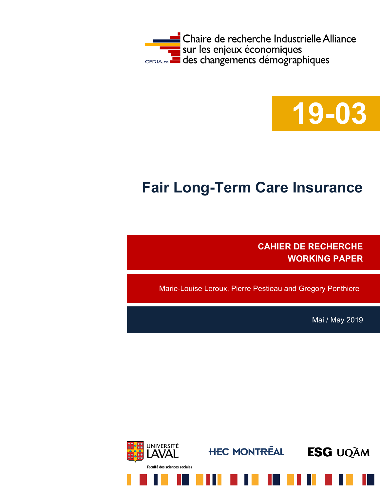



# **Fair Long-Term Care Insurance**

**CAHIER DE RECHERCHE WORKING PAPER**

Marie-Louise Leroux, Pierre Pestieau and Gregory Ponthiere

Mai / May 2019

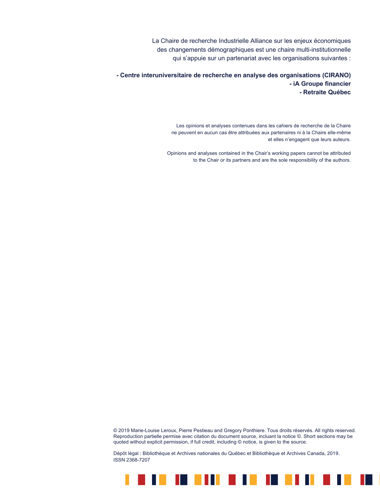La Chaire de recherche Industrielle Alliance sur les enjeux économiques des changements démographiques est une chaire multi-institutionnelle qui s'appuie sur un partenariat avec les organisations suivantes :

**- Centre interuniversitaire de recherche en analyse des organisations (CIRANO) - iA Groupe financier - Retraite Québec**

> Les opinions et analyses contenues dans les cahiers de recherche de la Chaire ne peuvent en aucun cas être attribuées aux partenaires ni à la Chaire elle-même et elles n'engagent que leurs auteurs.

Opinions and analyses contained in the Chair's working papers cannot be attributed to the Chair or its partners and are the sole responsibility of the authors.

© 2019 Marie-Louise Leroux, Pierre Pestieau and Gregory Ponthiere. Tous droits réservés. All rights reserved. Reproduction partielle permise avec citation du document source, incluant la notice ©. Short sections may be quoted without explicit permission, if full credit, including © notice, is given to the source.

<u> 18 18 1911 1912 1913 1914 19</u>

H.

Dépôt légal : Bibliothèque et Archives nationales du Québec et Bibliothèque et Archives Canada, 2019. ISSN 2368-7207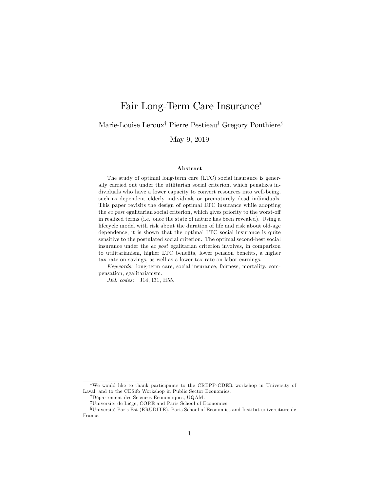## Fair Long-Term Care Insurance

Marie-Louise Leroux<sup>†</sup> Pierre Pestieau<sup>‡</sup> Gregory Ponthiere<sup>§</sup>

May 9, 2019

#### Abstract

The study of optimal long-term care (LTC) social insurance is generally carried out under the utilitarian social criterion, which penalizes individuals who have a lower capacity to convert resources into well-being, such as dependent elderly individuals or prematurely dead individuals. This paper revisits the design of optimal LTC insurance while adopting the  $ex$  post egalitarian social criterion, which gives priority to the worst-off in realized terms (i.e. once the state of nature has been revealed). Using a lifecycle model with risk about the duration of life and risk about old-age dependence, it is shown that the optimal LTC social insurance is quite sensitive to the postulated social criterion. The optimal second-best social insurance under the ex post egalitarian criterion involves, in comparison to utilitarianism, higher LTC benefits, lower pension benefits, a higher tax rate on savings, as well as a lower tax rate on labor earnings.

Keywords: long-term care, social insurance, fairness, mortality, compensation, egalitarianism.

JEL codes: J14, I31, H55.

We would like to thank participants to the CREPP-CDER workshop in University of Laval, and to the CESifo Workshop in Public Sector Economics.

<sup>&</sup>lt;sup>†</sup>Département des Sciences Economiques, UQAM.

<sup>&</sup>lt;sup>‡</sup>Université de Liège, CORE and Paris School of Economics.

xUniversitÈ Paris Est (ERUDITE), Paris School of Economics and Institut universitaire de France.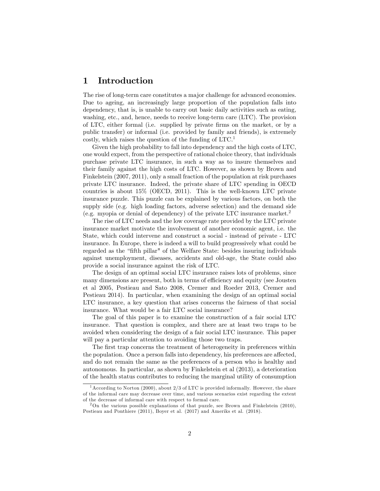## 1 Introduction

The rise of long-term care constitutes a major challenge for advanced economies. Due to ageing, an increasingly large proportion of the population falls into dependency, that is, is unable to carry out basic daily activities such as eating, washing, etc., and, hence, needs to receive long-term care (LTC). The provision of LTC, either formal (i.e. supplied by private Örms on the market, or by a public transfer) or informal (i.e. provided by family and friends), is extremely costly, which raises the question of the funding of  $\text{LTC}^1$ .

Given the high probability to fall into dependency and the high costs of LTC, one would expect, from the perspective of rational choice theory, that individuals purchase private LTC insurance, in such a way as to insure themselves and their family against the high costs of LTC. However, as shown by Brown and Finkelstein (2007, 2011), only a small fraction of the population at risk purchases private LTC insurance. Indeed, the private share of LTC spending in OECD countries is about 15% (OECD, 2011). This is the well-known LTC private insurance puzzle. This puzzle can be explained by various factors, on both the supply side (e.g. high loading factors, adverse selection) and the demand side (e.g. myopia or denial of dependency) of the private LTC insurance market.<sup>2</sup>

The rise of LTC needs and the low coverage rate provided by the LTC private insurance market motivate the involvement of another economic agent, i.e. the State, which could intervene and construct a social - instead of private - LTC insurance. In Europe, there is indeed a will to build progressively what could be regarded as the "fifth pillar" of the Welfare State: besides insuring individuals against unemployment, diseases, accidents and old-age, the State could also provide a social insurance against the risk of LTC.

The design of an optimal social LTC insurance raises lots of problems, since many dimensions are present, both in terms of efficiency and equity (see Jousten et al 2005, Pestieau and Sato 2008, Cremer and Roeder 2013, Cremer and Pestieau 2014). In particular, when examining the design of an optimal social LTC insurance, a key question that arises concerns the fairness of that social insurance. What would be a fair LTC social insurance?

The goal of this paper is to examine the construction of a fair social LTC insurance. That question is complex, and there are at least two traps to be avoided when considering the design of a fair social LTC insurance. This paper will pay a particular attention to avoiding those two traps.

The first trap concerns the treatment of heterogeneity in preferences within the population. Once a person falls into dependency, his preferences are affected, and do not remain the same as the preferences of a person who is healthy and autonomous. In particular, as shown by Finkelstein et al (2013), a deterioration of the health status contributes to reducing the marginal utility of consumption

<sup>&</sup>lt;sup>1</sup> According to Norton (2000), about  $2/3$  of LTC is provided informally. However, the share of the informal care may decrease over time, and various scenarios exist regarding the extent of the decrease of informal care with respect to formal care.

 $2$ On the various possible explanations of that puzzle, see Brown and Finkelstein (2010), Pestieau and Ponthiere (2011), Boyer et al. (2017) and Ameriks et al. (2018).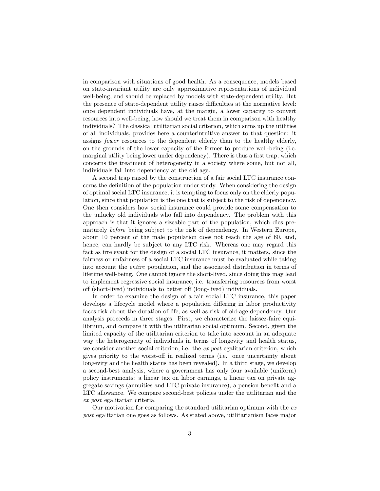in comparison with situations of good health. As a consequence, models based on state-invariant utility are only approximative representations of individual well-being, and should be replaced by models with state-dependent utility. But the presence of state-dependent utility raises difficulties at the normative level: once dependent individuals have, at the margin, a lower capacity to convert resources into well-being, how should we treat them in comparison with healthy individuals? The classical utilitarian social criterion, which sums up the utilities of all individuals, provides here a counterintuitive answer to that question: it assigns fewer resources to the dependent elderly than to the healthy elderly, on the grounds of the lower capacity of the former to produce well-being (i.e. marginal utility being lower under dependency). There is thus a first trap, which concerns the treatment of heterogeneity in a society where some, but not all, individuals fall into dependency at the old age.

A second trap raised by the construction of a fair social LTC insurance concerns the definition of the population under study. When considering the design of optimal social LTC insurance, it is tempting to focus only on the elderly population, since that population is the one that is subject to the risk of dependency. One then considers how social insurance could provide some compensation to the unlucky old individuals who fall into dependency. The problem with this approach is that it ignores a sizeable part of the population, which dies prematurely before being subject to the risk of dependency. In Western Europe, about 10 percent of the male population does not reach the age of 60, and, hence, can hardly be subject to any LTC risk. Whereas one may regard this fact as irrelevant for the design of a social LTC insurance, it matters, since the fairness or unfairness of a social LTC insurance must be evaluated while taking into account the entire population, and the associated distribution in terms of lifetime well-being. One cannot ignore the short-lived, since doing this may lead to implement regressive social insurance, i.e. transferring resources from worst off (short-lived) individuals to better off (long-lived) individuals.

In order to examine the design of a fair social LTC insurance, this paper develops a lifecycle model where a population differing in labor productivity faces risk about the duration of life, as well as risk of old-age dependency. Our analysis proceeds in three stages. First, we characterize the laissez-faire equilibrium, and compare it with the utilitarian social optimum. Second, given the limited capacity of the utilitarian criterion to take into account in an adequate way the heterogeneity of individuals in terms of longevity and health status, we consider another social criterion, i.e. the ex post egalitarian criterion, which gives priority to the worst-off in realized terms (i.e. once uncertainty about longevity and the health status has been revealed). In a third stage, we develop a second-best analysis, where a government has only four available (uniform) policy instruments: a linear tax on labor earnings, a linear tax on private aggregate savings (annuities and LTC private insurance), a pension benefit and a LTC allowance. We compare second-best policies under the utilitarian and the ex post egalitarian criteria.

Our motivation for comparing the standard utilitarian optimum with the  $ex$ post egalitarian one goes as follows. As stated above, utilitarianism faces major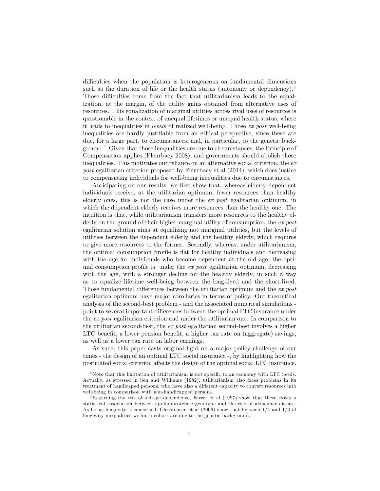difficulties when the population is heterogeneous on fundamental dimensions such as the duration of life or the health status (autonomy or dependency).<sup>3</sup> Those difficulties come from the fact that utilitarianism leads to the equalization, at the margin, of the utility gains obtained from alternative uses of resources. This equalization of marginal utilities across rival uses of resources is questionable in the context of unequal lifetimes or unequal health status, where it leads to inequalities in levels of realized well-being. Those ex post well-being inequalities are hardly justifiable from an ethical perspective, since these are due, for a large part, to circumstances, and, in particular, to the genetic background.<sup>4</sup> Given that those inequalities are due to circumstances, the Principle of Compensation applies (Fleurbaey 2008), and governments should abolish those inequalities. This motivates our reliance on an alternative social criterion, the ex post egalitarian criterion proposed by Fleurbaey et al (2014), which does justice to compensating individuals for well-being inequalities due to circumstances.

Anticipating on our results, we first show that, whereas elderly dependent individuals receive, at the utilitarian optimum, fewer resources than healthy elderly ones, this is not the case under the ex post egalitarian optimum, in which the dependent elderly receives more resources than the healthy one. The intuition is that, while utilitarianism transfers more resources to the healthy elderly on the ground of their higher marginal utility of consumption, the ex post egalitarian solution aims at equalizing not marginal utilities, but the levels of utilities between the dependent elderly and the healthy elderly, which requires to give more resources to the former. Secondly, whereas, under utilitarianism, the optimal consumption profile is flat for healthy individuals and decreasing with the age for individuals who become dependent at the old age, the optimal consumption profile is, under the  $ex$  post egalitarian optimum, decreasing with the age, with a stronger decline for the healthy elderly, in such a way as to equalize lifetime well-being between the long-lived and the short-lived. Those fundamental differences between the utilitarian optimum and the  $ex$  post egalitarian optimum have major corollaries in terms of policy. Our theoretical analysis of the second-best problem - and the associated numerical simulations point to several important differences between the optimal LTC insurance under the ex post egalitarian criterion and under the utilitarian one. In comparison to the utilitarian second-best, the ex post egalitarian second-best involves a higher LTC benefit, a lower pension benefit, a higher tax rate on (aggregate) savings, as well as a lower tax rate on labor earnings.

As such, this paper casts original light on a major policy challenge of our times - the design of an optimal LTC social insurance -, by highlighting how the postulated social criterion a§ects the design of the optimal social LTC insurance.

 $3$ Note that this limitation of utilitarianism is not specific to an economy with LTC needs. Actually, as stressed in Sen and Williams (1982), utilitarianism also faces problems in its treatment of handicaped persons, who have also a different capacity to convert resources into well-being in comparison with non-handicapped persons.

<sup>4</sup>Regarding the risk of old-age dependence, Farrer et al (1997) show that there exists a statistical association between apolipoprotein e genotype and the risk of alzheimer disease. As far as longevity is concerned, Christensen et al (2006) show that between 1/4 and 1/3 of longevity inequalities within a cohort are due to the genetic background.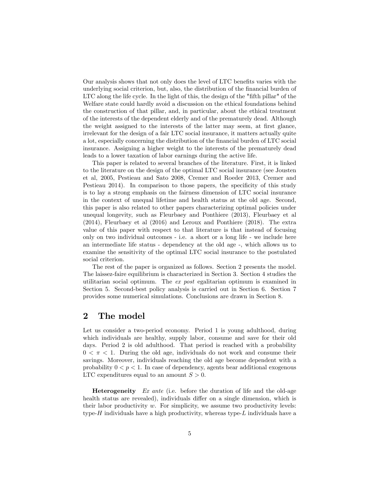Our analysis shows that not only does the level of LTC benefits varies with the underlying social criterion, but, also, the distribution of the financial burden of LTC along the life cycle. In the light of this, the design of the "fifth pillar" of the Welfare state could hardly avoid a discussion on the ethical foundations behind the construction of that pillar, and, in particular, about the ethical treatment of the interests of the dependent elderly and of the prematurely dead. Although the weight assigned to the interests of the latter may seem, at first glance, irrelevant for the design of a fair LTC social insurance, it matters actually quite a lot, especially concerning the distribution of the Önancial burden of LTC social insurance. Assigning a higher weight to the interests of the prematurely dead leads to a lower taxation of labor earnings during the active life.

This paper is related to several branches of the literature. First, it is linked to the literature on the design of the optimal LTC social insurance (see Jousten et al, 2005, Pestieau and Sato 2008, Cremer and Roeder 2013, Cremer and Pestieau 2014). In comparison to those papers, the specificity of this study is to lay a strong emphasis on the fairness dimension of LTC social insurance in the context of unequal lifetime and health status at the old age. Second, this paper is also related to other papers characterizing optimal policies under unequal longevity, such as Fleurbaey and Ponthiere (2013), Fleurbaey et al (2014), Fleurbaey et al (2016) and Leroux and Ponthiere (2018). The extra value of this paper with respect to that literature is that instead of focusing only on two individual outcomes - i.e. a short or a long life - we include here an intermediate life status - dependency at the old age -, which allows us to examine the sensitivity of the optimal LTC social insurance to the postulated social criterion.

The rest of the paper is organized as follows. Section 2 presents the model. The laissez-faire equilibrium is characterized in Section 3. Section 4 studies the utilitarian social optimum. The ex post egalitarian optimum is examined in Section 5. Second-best policy analysis is carried out in Section 6. Section 7 provides some numerical simulations. Conclusions are drawn in Section 8.

## 2 The model

Let us consider a two-period economy. Period 1 is young adulthood, during which individuals are healthy, supply labor, consume and save for their old days. Period 2 is old adulthood. That period is reached with a probability  $0 < \pi < 1$ . During the old age, individuals do not work and consume their savings. Moreover, individuals reaching the old age become dependent with a probability  $0 < p < 1$ . In case of dependency, agents bear additional exogenous LTC expenditures equal to an amount  $S > 0$ .

**Heterogeneity** Ex ante (i.e. before the duration of life and the old-age health status are revealed), individuals differ on a single dimension, which is their labor productivity  $w$ . For simplicity, we assume two productivity levels: type- $H$  individuals have a high productivity, whereas type- $L$  individuals have a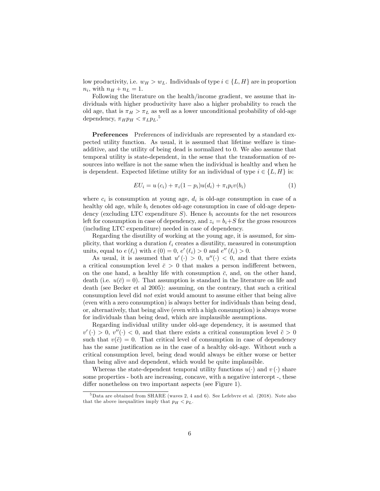low productivity, i.e.  $w_H > w_L$ . Individuals of type  $i \in \{L, H\}$  are in proportion  $n_i$ , with  $n_H + n_L = 1$ .

Following the literature on the health/income gradient, we assume that individuals with higher productivity have also a higher probability to reach the old age, that is  $\pi_H > \pi_L$  as well as a lower unconditional probability of old-age dependency,  $\pi_H p_H < \pi_L p_L$ .<sup>5</sup>

Preferences Preferences of individuals are represented by a standard expected utility function. As usual, it is assumed that lifetime welfare is timeadditive, and the utility of being dead is normalized to 0. We also assume that temporal utility is state-dependent, in the sense that the transformation of resources into welfare is not the same when the individual is healthy and when he is dependent. Expected lifetime utility for an individual of type  $i \in \{L, H\}$  is:

$$
EU_i = u(c_i) + \pi_i(1 - p_i)u(d_i) + \pi_i p_i v(b_i)
$$
 (1)

where  $c_i$  is consumption at young age,  $d_i$  is old-age consumption in case of a healthy old age, while  $b_i$  denotes old-age consumption in case of old-age dependency (excluding LTC expenditure S). Hence  $b_i$  accounts for the net resources left for consumption in case of dependency, and  $z_i = b_i + S$  for the gross resources (including LTC expenditure) needed in case of dependency.

Regarding the disutility of working at the young age, it is assumed, for simplicity, that working a duration  $\ell_i$  creates a disutility, measured in consumption units, equal to  $e(\ell_i)$  with  $e(0) = 0$ ,  $e'(\ell_i) > 0$  and  $e''(\ell_i) > 0$ .

As usual, it is assumed that  $u'(\cdot) > 0$ ,  $u''(\cdot) < 0$ , and that there exists a critical consumption level  $\bar{c} > 0$  that makes a person indifferent between, on the one hand, a healthy life with consumption  $\bar{c}$ , and, on the other hand, death (i.e.  $u(\bar{c}) = 0$ ). That assumption is standard in the literature on life and death (see Becker et al 2005): assuming, on the contrary, that such a critical consumption level did not exist would amount to assume either that being alive (even with a zero consumption) is always better for individuals than being dead, or, alternatively, that being alive (even with a high consumption) is always worse for individuals than being dead, which are implausible assumptions.

Regarding individual utility under old-age dependency, it is assumed that  $v'(\cdot) > 0, v''(\cdot) < 0$ , and that there exists a critical consumption level  $\tilde{c} > 0$ such that  $v(\tilde{c}) = 0$ . That critical level of consumption in case of dependency has the same justification as in the case of a healthy old-age. Without such a critical consumption level, being dead would always be either worse or better than being alive and dependent, which would be quite implausible.

Whereas the state-dependent temporal utility functions  $u(\cdot)$  and  $v(\cdot)$  share some properties - both are increasing, concave, with a negative intercept -, these differ nonetheless on two important aspects (see Figure 1).

<sup>5</sup>Data are obtained from SHARE (waves 2, 4 and 6). See Lefebvre et al. (2018). Note also that the above inequalities imply that  $p_H < p_L$ .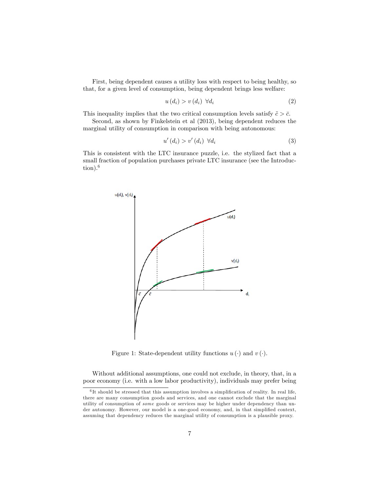First, being dependent causes a utility loss with respect to being healthy, so that, for a given level of consumption, being dependent brings less welfare:

$$
u(d_i) > v(d_i) \ \forall d_i \tag{2}
$$

This inequality implies that the two critical consumption levels satisfy  $\tilde{c} > \bar{c}$ .

Second, as shown by Finkelstein et al (2013), being dependent reduces the marginal utility of consumption in comparison with being autonomous:

$$
u'(d_i) > v'(d_i) \quad \forall d_i \tag{3}
$$

This is consistent with the LTC insurance puzzle, i.e. the stylized fact that a small fraction of population purchases private LTC insurance (see the Introduction).<sup>6</sup>



Figure 1: State-dependent utility functions  $u(\cdot)$  and  $v(\cdot)$ .

Without additional assumptions, one could not exclude, in theory, that, in a poor economy (i.e. with a low labor productivity), individuals may prefer being

 ${}^{6}$ It should be stressed that this assumption involves a simplification of reality. In real life, there are many consumption goods and services, and one cannot exclude that the marginal utility of consumption of some goods or services may be higher under dependency than under autonomy. However, our model is a one-good economy, and, in that simplified context, assuming that dependency reduces the marginal utility of consumption is a plausible proxy.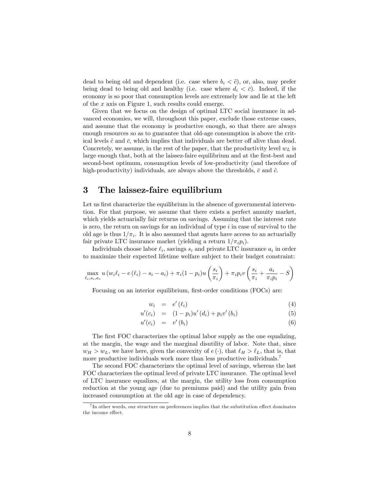dead to being old and dependent (i.e. case where  $b_i < \tilde{c}$ ), or, also, may prefer being dead to being old and healthy (i.e. case where  $d_i < \bar{c}$ ). Indeed, if the economy is so poor that consumption levels are extremely low and lie at the left of the x axis on Figure 1, such results could emerge.

Given that we focus on the design of optimal LTC social insurance in advanced economies, we will, throughout this paper, exclude those extreme cases, and assume that the economy is productive enough, so that there are always enough resources so as to guarantee that old-age consumption is above the critical levels  $\tilde{c}$  and  $\bar{c}$ , which implies that individuals are better off alive than dead. Concretely, we assume, in the rest of the paper, that the productivity level  $w<sub>L</sub>$  is large enough that, both at the laissez-faire equilibrium and at the first-best and second-best optimum, consumption levels of low-productivity (and therefore of high-productivity) individuals, are always above the thresholds,  $\bar{c}$  and  $\tilde{c}$ .

## 3 The laissez-faire equilibrium

Let us first characterize the equilibrium in the absence of governmental intervention. For that purpose, we assume that there exists a perfect annuity market, which yields actuarially fair returns on savings. Assuming that the interest rate is zero, the return on savings for an individual of type  $i$  in case of survival to the old age is thus  $1/\pi_i$ . It is also assumed that agents have access to an actuarially fair private LTC insurance market (yielding a return  $1/\pi_i p_i$ ).

Individuals choose labor  $\ell_i$ , savings  $s_i$  and private LTC insurance  $a_i$  in order to maximize their expected lifetime welfare subject to their budget constraint:

$$
\max_{\ell_i, s_i, a_i} u(w_i \ell_i - e(\ell_i) - s_i - a_i) + \pi_i (1 - p_i) u\left(\frac{s_i}{\pi_i}\right) + \pi_i p_i v\left(\frac{s_i}{\pi_i} + \frac{a_i}{\pi_i p_i} - S\right)
$$

Focusing on an interior equilibrium, first-order conditions (FOCs) are:

$$
w_i = e'(\ell_i) \tag{4}
$$

$$
u'(c_i) = (1 - p_i)u'(d_i) + p_i v'(b_i)
$$
\n(5)

$$
u'(c_i) = v'(b_i) \tag{6}
$$

The first FOC characterizes the optimal labor supply as the one equalizing, at the margin, the wage and the marginal disutility of labor. Note that, since  $w_H > w_L$ , we have here, given the convexity of  $e(.)$ , that  $\ell_H > \ell_L$ , that is, that more productive individuals work more than less productive individuals.<sup>7</sup>

The second FOC characterizes the optimal level of savings, whereas the last FOC characterizes the optimal level of private LTC insurance. The optimal level of LTC insurance equalizes, at the margin, the utility loss from consumption reduction at the young age (due to premiums paid) and the utility gain from increased consumption at the old age in case of dependency.

 $^{7}$ In other words, our structure on preferences implies that the substitution effect dominates the income effect.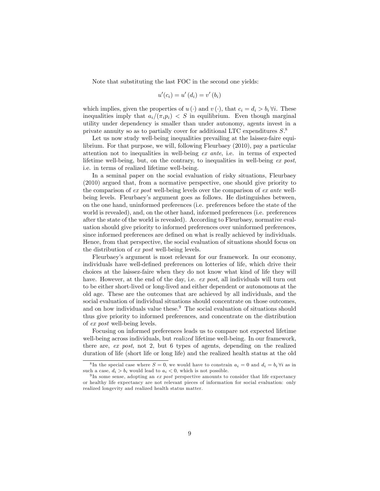Note that substituting the last FOC in the second one yields:

$$
u'(c_i) = u'(d_i) = v'(b_i)
$$

which implies, given the properties of  $u(\cdot)$  and  $v(\cdot)$ , that  $c_i = d_i > b_i \forall i$ . These inequalities imply that  $a_i/(\pi_i p_i) < S$  in equilibrium. Even though marginal utility under dependency is smaller than under autonomy, agents invest in a private annuity so as to partially cover for additional LTC expenditures  $S^8$ .

Let us now study well-being inequalities prevailing at the laissez-faire equilibrium. For that purpose, we will, following Fleurbaey (2010), pay a particular attention not to inequalities in well-being ex ante, i.e. in terms of expected lifetime well-being, but, on the contrary, to inequalities in well-being  $ex$  post, i.e. in terms of realized lifetime well-being.

In a seminal paper on the social evaluation of risky situations, Fleurbaey (2010) argued that, from a normative perspective, one should give priority to the comparison of ex post well-being levels over the comparison of ex ante wellbeing levels. Fleurbaeyís argument goes as follows. He distinguishes between, on the one hand, uninformed preferences (i.e. preferences before the state of the world is revealed), and, on the other hand, informed preferences (i.e. preferences after the state of the world is revealed). According to Fleurbaey, normative evaluation should give priority to informed preferences over uninformed preferences, since informed preferences are defined on what is really achieved by individuals. Hence, from that perspective, the social evaluation of situations should focus on the distribution of ex post well-being levels.

Fleurbaeyís argument is most relevant for our framework. In our economy, individuals have well-defined preferences on lotteries of life, which drive their choices at the laissez-faire when they do not know what kind of life they will have. However, at the end of the day, i.e. ex post, all individuals will turn out to be either short-lived or long-lived and either dependent or autonomous at the old age. These are the outcomes that are achieved by all individuals, and the social evaluation of individual situations should concentrate on those outcomes, and on how individuals value these.<sup>9</sup> The social evaluation of situations should thus give priority to informed preferences, and concentrate on the distribution of ex post well-being levels.

Focusing on informed preferences leads us to compare not expected lifetime well-being across individuals, but *realized* lifetime well-being. In our framework, there are, ex post, not 2, but 6 types of agents, depending on the realized duration of life (short life or long life) and the realized health status at the old

<sup>&</sup>lt;sup>8</sup>In the special case where  $S = 0$ , we would have to constrain  $a_i = 0$  and  $d_i = b_i \forall i$  as in such a case,  $d_i > b_i$  would lead to  $a_i < 0$ , which is not possible.

<sup>&</sup>lt;sup>9</sup>In some sense, adopting an *ex post* perspective amounts to consider that life expectancy or healthy life expectancy are not relevant pieces of information for social evaluation: only realized longevity and realized health status matter.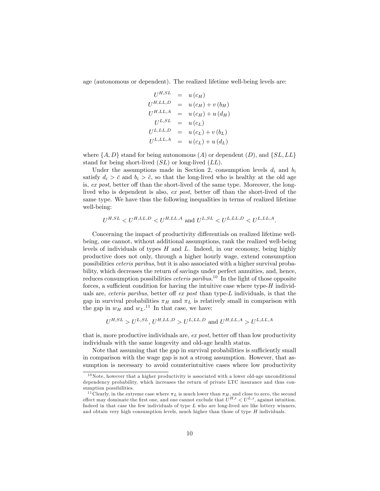age (autonomous or dependent). The realized lifetime well-being levels are:

$$
U^{H,SL} = u(c_H)
$$
  
\n
$$
U^{H,LL,D} = u(c_H) + v(b_H)
$$
  
\n
$$
U^{H,LL,A} = u(c_H) + u(d_H)
$$
  
\n
$$
U^{L,SL} = u(c_L)
$$
  
\n
$$
U^{L,LL,D} = u(c_L) + v(b_L)
$$
  
\n
$$
U^{L,LL,A} = u(c_L) + u(d_L)
$$

where  $\{A, D\}$  stand for being autonomous  $(A)$  or dependent  $(D)$ , and  $\{SL, LL\}$ stand for being short-lived  $(SL)$  or long-lived  $(LL)$ .

Under the assumptions made in Section 2, consumption levels  $d_i$  and  $b_i$ satisfy  $d_i > \bar{c}$  and  $b_i > \tilde{c}$ , so that the long-lived who is healthy at the old age is,  $ex$  post, better off than the short-lived of the same type. Moreover, the longlived who is dependent is also,  $ex$  post, better off than the short-lived of the same type. We have thus the following inequalities in terms of realized lifetime well-being:

$$
U^{H,SL} < U^{H,LL,D} < U^{H,LL,A} \text{ and } U^{L,SL} < U^{L,LL,D} < U^{L,LL,A}.
$$

Concerning the impact of productivity differentials on realized lifetime wellbeing, one cannot, without additional assumptions, rank the realized well-being levels of individuals of types  $H$  and  $L$ . Indeed, in our economy, being highly productive does not only, through a higher hourly wage, extend consumption possibilities ceteris paribus, but it is also associated with a higher survival probability, which decreases the return of savings under perfect annuities, and, hence, reduces consumption possibilities *ceteris paribus*.<sup>10</sup> In the light of those opposite forces, a sufficient condition for having the intuitive case where type- $H$  individuals are, *ceteris paribus*, better off  $ex$  *post* than type- $L$  individuals, is that the gap in survival probabilities  $\pi_H$  and  $\pi_L$  is relatively small in comparison with the gap in  $w_H$  and  $w_L$ .<sup>11</sup> In that case, we have:

$$
U^{H,SL} > U^{L,SL}, U^{H,LL,D} > U^{L,LL,D}
$$
 and  $U^{H,LL,A} > U^{L,LL,A}$ 

that is, more productive individuals are,  $ex$  post, better off than low productivity individuals with the same longevity and old-age health status.

Note that assuming that the gap in survival probabilities is sufficiently small in comparison with the wage gap is not a strong assumption. However, that assumption is necessary to avoid counterintuitive cases where low productivity

 $10$ Note, however that a higher productivity is associated with a lower old-age unconditional dependency probability, which increases the return of private LTC insurance and thus consumption possibilities.

<sup>&</sup>lt;sup>11</sup> Clearly, in the extreme case where  $\pi_L$  is much lower than  $\pi_H$ , and close to zero, the second effect may dominate the first one, and one cannot exclude that  $U^{H,i} < U^{L,i}$ , against intuition. Indeed in that case the few individuals of type  $L$  who are long-lived are like lottery winners, and obtain very high consumption levels, much higher than those of type  $H$  individuals.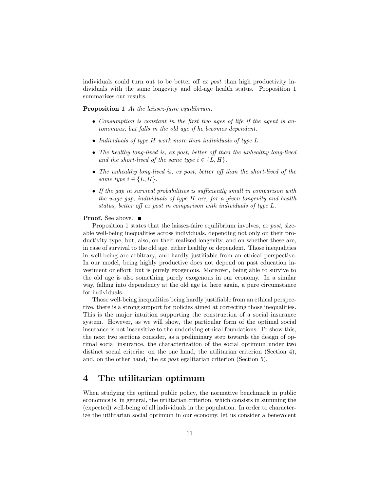individuals could turn out to be better of  $ex$  post than high productivity individuals with the same longevity and old-age health status. Proposition 1 summarizes our results.

Proposition 1 At the laissez-faire equilibrium,

- Consumption is constant in the Örst two ages of life if the agent is autonomous, but falls in the old age if he becomes dependent.
- Individuals of type H work more than individuals of type L.
- The healthy long-lived is, ex post, better off than the unhealthy long-lived and the short-lived of the same type  $i \in \{L, H\}.$
- The unhealthy long-lived is, ex post, better off than the short-lived of the same type  $i \in \{L, H\}.$
- $\bullet$  If the gap in survival probabilities is sufficiently small in comparison with the wage gap, individuals of type H are, for a given longevity and health status, better off ex post in comparison with individuals of type  $L$ .

#### **Proof.** See above. ■

Proposition 1 states that the laissez-faire equilibrium involves, ex post, sizeable well-being inequalities across individuals, depending not only on their productivity type, but, also, on their realized longevity, and on whether these are, in case of survival to the old age, either healthy or dependent. Those inequalities in well-being are arbitrary, and hardly justifiable from an ethical perspective. In our model, being highly productive does not depend on past education investment or effort, but is purely exogenous. Moreover, being able to survive to the old age is also something purely exogenous in our economy. In a similar way, falling into dependency at the old age is, here again, a pure circumstance for individuals.

Those well-being inequalities being hardly justifiable from an ethical perspective, there is a strong support for policies aimed at correcting those inequalities. This is the major intuition supporting the construction of a social insurance system. However, as we will show, the particular form of the optimal social insurance is not insensitive to the underlying ethical foundations. To show this, the next two sections consider, as a preliminary step towards the design of optimal social insurance, the characterization of the social optimum under two distinct social criteria: on the one hand, the utilitarian criterion (Section 4), and, on the other hand, the ex post egalitarian criterion (Section 5).

## 4 The utilitarian optimum

When studying the optimal public policy, the normative benchmark in public economics is, in general, the utilitarian criterion, which consists in summing the (expected) well-being of all individuals in the population. In order to characterize the utilitarian social optimum in our economy, let us consider a benevolent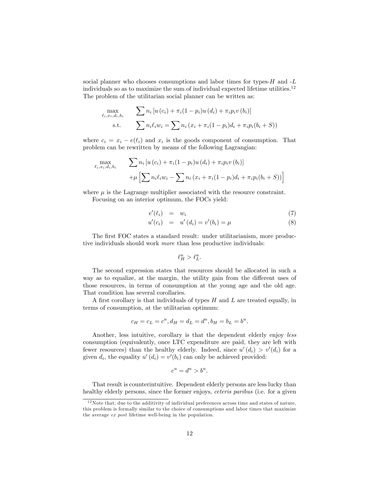social planner who chooses consumptions and labor times for types- $H$  and  $-L$ individuals so as to maximize the sum of individual expected lifetime utilities.<sup>12</sup> The problem of the utilitarian social planner can be written as:

$$
\max_{\ell_i, x_i, d_i, b_i} \qquad \sum n_i [u(c_i) + \pi_i (1 - p_i) u(d_i) + \pi_i p_i v(b_i)]
$$
\n
$$
\text{s.t.} \qquad \sum n_i \ell_i w_i = \sum n_i (x_i + \pi_i (1 - p_i) d_i + \pi_i p_i (b_i + S))
$$

where  $c_i = x_i - e(\ell_i)$  and  $x_i$  is the goods component of consumption. That problem can be rewritten by means of the following Lagrangian:

$$
\max_{\ell_i, x_i, d_i, b_i} \qquad \sum n_i \left[ u(c_i) + \pi_i (1 - p_i) u(d_i) + \pi_i p_i v(b_i) \right] \\
 + \mu \left[ \sum n_i \ell_i w_i - \sum n_i (x_i + \pi_i (1 - p_i) d_i + \pi_i p_i (b_i + S)) \right]
$$

where  $\mu$  is the Lagrange multiplier associated with the resource constraint.

Focusing on an interior optimum, the FOCs yield:

$$
e'(\ell_i) = w_i \tag{7}
$$

$$
u'(c_i) = u'(d_i) = v'(b_i) = \mu \tag{8}
$$

The first FOC states a standard result: under utilitarianism, more productive individuals should work more than less productive individuals:

$$
\ell^u_H > \ell^u_L.
$$

The second expression states that resources should be allocated in such a way as to equalize, at the margin, the utility gain from the different uses of those resources, in terms of consumption at the young age and the old age. That condition has several corollaries.

A first corollary is that individuals of types  $H$  and  $L$  are treated equally, in terms of consumption, at the utilitarian optimum:

$$
c_H = c_L = c^u, d_H = d_L = d^u, b_H = b_L = b^u.
$$

Another, less intuitive, corollary is that the dependent elderly enjoy less consumption (equivalently, once LTC expenditure are paid, they are left with fewer resources) than the healthy elderly. Indeed, since  $u'(d_i) > v'(d_i)$  for a given  $d_i$ , the equality  $u'(d_i) = v'(b_i)$  can only be achieved provided:

$$
c^u = d^u > b^u.
$$

That result is counterintuitive. Dependent elderly persons are less lucky than healthy elderly persons, since the former enjoys, ceteris paribus (i.e. for a given

 $12$ Note that, due to the additivity of individual preferences across time and states of nature, this problem is formally similar to the choice of consumptions and labor times that maximize the average ex post lifetime well-being in the population.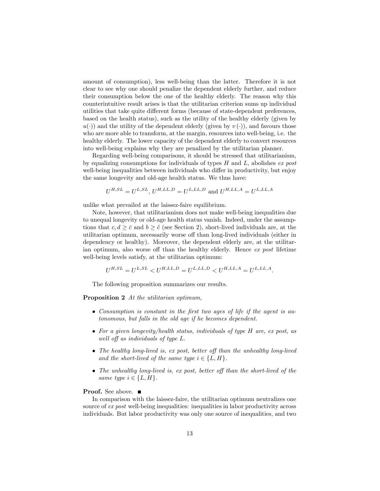amount of consumption), less well-being than the latter. Therefore it is not clear to see why one should penalize the dependent elderly further, and reduce their consumption below the one of the healthy elderly. The reason why this counterintuitive result arises is that the utilitarian criterion sums up individual utilities that take quite different forms (because of state-dependent preferences, based on the health status), such as the utility of the healthy elderly (given by  $u(\cdot)$  and the utility of the dependent elderly (given by  $v(\cdot)$ ), and favours those who are more able to transform, at the margin, resources into well-being, i.e. the healthy elderly. The lower capacity of the dependent elderly to convert resources into well-being explains why they are penalized by the utilitarian planner.

Regarding well-being comparisons, it should be stressed that utilitarianism, by equalizing consumptions for individuals of types  $H$  and  $L$ , abolishes ex post well-being inequalities between individuals who differ in productivity, but enjoy the same longevity and old-age health status. We thus have:

$$
U^{H,SL} = U^{L,SL}, U^{H,LL,D} = U^{L,LL,D}
$$
 and  $U^{H,LL,A} = U^{L,LL,A}$ 

unlike what prevailed at the laissez-faire equilibrium.

Note, however, that utilitarianism does not make well-being inequalities due to unequal longevity or old-age health status vanish. Indeed, under the assumptions that  $c, d > \bar{c}$  and  $b > \tilde{c}$  (see Section 2), short-lived individuals are, at the utilitarian optimum, necessarily worse off than long-lived individuals (either in dependency or healthy). Moreover, the dependent elderly are, at the utilitarian optimum, also worse off than the healthy elderly. Hence  $ex\ post$  lifetime well-being levels satisfy, at the utilitarian optimum:

$$
U^{H,SL} = U^{L,SL} < U^{H,LL, D} = U^{L,LL, D} < U^{H,LL, A} = U^{L,LL, A}.
$$

The following proposition summarizes our results.

Proposition 2 At the utilitarian optimum,

- Consumption is constant in the Örst two ages of life if the agent is autonomous, but falls in the old age if he becomes dependent.
- For a given longevity/health status, individuals of type H are, ex post, as well off as individuals of type  $L$ .
- The healthy long-lived is, ex post, better off than the unhealthy long-lived and the short-lived of the same type  $i \in \{L, H\}.$
- The unhealthy long-lived is, ex post, better off than the short-lived of the same type  $i \in \{L, H\}.$

#### **Proof.** See above. ■

In comparison with the laissez-faire, the utilitarian optimum neutralizes one source of ex post well-being inequalities: inequalities in labor productivity across individuals. But labor productivity was only one source of inequalities, and two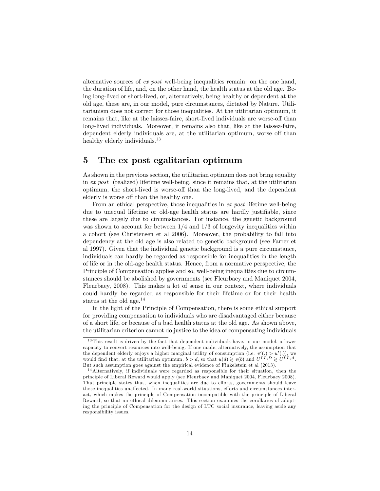alternative sources of ex post well-being inequalities remain: on the one hand, the duration of life, and, on the other hand, the health status at the old age. Being long-lived or short-lived, or, alternatively, being healthy or dependent at the old age, these are, in our model, pure circumstances, dictated by Nature. Utilitarianism does not correct for those inequalities. At the utilitarian optimum, it remains that, like at the laissez-faire, short-lived individuals are worse-off than long-lived individuals. Moreover, it remains also that, like at the laissez-faire, dependent elderly individuals are, at the utilitarian optimum, worse off than healthy elderly individuals.<sup>13</sup>

## 5 The ex post egalitarian optimum

As shown in the previous section, the utilitarian optimum does not bring equality in  $ex$  post (realized) lifetime well-being, since it remains that, at the utilitarian optimum, the short-lived is worse-off than the long-lived, and the dependent elderly is worse off than the healthy one.

From an ethical perspective, those inequalities in ex post lifetime well-being due to unequal lifetime or old-age health status are hardly justifiable, since these are largely due to circumstances. For instance, the genetic background was shown to account for between  $1/4$  and  $1/3$  of longevity inequalities within a cohort (see Christensen et al 2006). Moreover, the probability to fall into dependency at the old age is also related to genetic background (see Farrer et al 1997). Given that the individual genetic background is a pure circumstance, individuals can hardly be regarded as responsible for inequalities in the length of life or in the old-age health status. Hence, from a normative perspective, the Principle of Compensation applies and so, well-being inequalities due to circumstances should be abolished by governments (see Fleurbaey and Maniquet 2004, Fleurbaey, 2008). This makes a lot of sense in our context, where individuals could hardly be regarded as responsible for their lifetime or for their health status at the old age.<sup>14</sup>

In the light of the Principle of Compensation, there is some ethical support for providing compensation to individuals who are disadvantaged either because of a short life, or because of a bad health status at the old age. As shown above, the utilitarian criterion cannot do justice to the idea of compensating individuals

<sup>&</sup>lt;sup>13</sup> This result is driven by the fact that dependent individuals have, in our model, a lower capacity to convert resources into well-being. If one made, alternatively, the assumption that the dependent elderly enjoys a higher marginal utility of consumption (i.e.  $v'(.) > u'(.)$ ), we would find that, at the utilitarian optimum,  $b > d$ , so that  $u(d) \geqslant v(b)$  and  $U^{LL}, D \geqslant U^{LL}, A$ . But such assumption goes against the empirical evidence of Finkelstein et al (2013).

<sup>&</sup>lt;sup>14</sup>Alternatively, if individuals were regarded as responsible for their situation, then the principle of Liberal Reward would apply (see Fleurbaey and Maniquet 2004, Fleurbaey 2008). That principle states that, when inequalities are due to efforts, governments should leave those inequalities unaffected. In many real-world situations, efforts and circumstances interact, which makes the principle of Compensation incompatible with the principle of Liberal Reward, so that an ethical dilemma arises. This section examines the corollaries of adopting the principle of Compensation for the design of LTC social insurance, leaving aside any responsibility issues.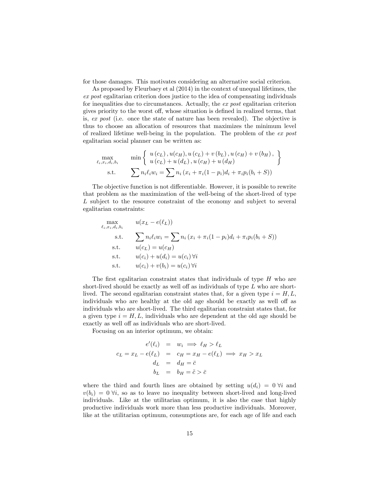for those damages. This motivates considering an alternative social criterion.

As proposed by Fleurbaey et al (2014) in the context of unequal lifetimes, the ex post egalitarian criterion does justice to the idea of compensating individuals for inequalities due to circumstances. Actually, the ex post egalitarian criterion gives priority to the worst off, whose situation is defined in realized terms, that is, ex post (i.e. once the state of nature has been revealed). The objective is thus to choose an allocation of resources that maximizes the minimum level of realized lifetime well-being in the population. The problem of the ex post egalitarian social planner can be written as:

$$
\max_{\ell_i, x_i, d_i, b_i} \qquad \min \left\{ \begin{array}{l} u(c_L), u(c_H), u(c_L) + v(b_L), u(c_H) + v(b_H), \\ u(c_L) + u(d_L), u(c_H) + u(d_H) \end{array} \right\}
$$
\ns.t. 
$$
\sum n_i \ell_i w_i = \sum n_i (x_i + \pi_i (1 - p_i) d_i + \pi_i p_i(b_i + S))
$$

The objective function is not differentiable. However, it is possible to rewrite that problem as the maximization of the well-being of the short-lived of type L subject to the resource constraint of the economy and subject to several egalitarian constraints:

$$
\max_{\ell_i, x_i, d_i, b_i} \qquad u(x_L - e(\ell_L))
$$
\n
$$
\text{s.t.} \qquad \sum n_i \ell_i w_i = \sum n_i (x_i + \pi_i (1 - p_i) d_i + \pi_i p_i (b_i + S))
$$
\n
$$
\text{s.t.} \qquad u(c_L) = u(c_H)
$$
\n
$$
\text{s.t.} \qquad u(c_i) + u(d_i) = u(c_i) \,\forall i
$$
\n
$$
\text{s.t.} \qquad u(c_i) + v(b_i) = u(c_i) \,\forall i
$$

The first egalitarian constraint states that individuals of type  $H$  who are short-lived should be exactly as well off as individuals of type  $L$  who are shortlived. The second egalitarian constraint states that, for a given type  $i = H, L$ , individuals who are healthy at the old age should be exactly as well off as individuals who are short-lived. The third egalitarian constraint states that, for a given type  $i = H, L$ , individuals who are dependent at the old age should be exactly as well off as individuals who are short-lived.

Focusing on an interior optimum, we obtain:

$$
e'(\ell_i) = w_i \implies \ell_H > \ell_L
$$
  
\n
$$
c_L = x_L - e(\ell_L) = c_H = x_H - e(\ell_L) \implies x_H > x_L
$$
  
\n
$$
d_L = d_H = \bar{c}
$$
  
\n
$$
b_L = b_H = \tilde{c} > \bar{c}
$$

where the third and fourth lines are obtained by setting  $u(d_i) = 0$   $\forall i$  and  $v(b_i) = 0 \forall i$ , so as to leave no inequality between short-lived and long-lived individuals. Like at the utilitarian optimum, it is also the case that highly productive individuals work more than less productive individuals. Moreover, like at the utilitarian optimum, consumptions are, for each age of life and each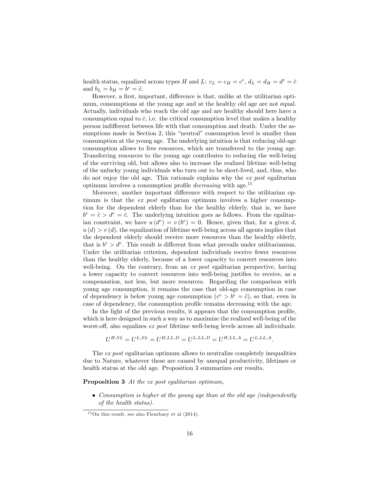health status, equalized across types H and L:  $c_L = c_H = c^e$ ,  $d_L = d_H = d^e = \overline{c}$ and  $b_L = b_H = b^e = \tilde{c}$ .

However, a first, important, difference is that, unlike at the utilitarian optimum, consumptions at the young age and at the healthy old age are not equal. Actually, individuals who reach the old age and are healthy should here have a consumption equal to  $\bar{c}$ , i.e. the critical consumption level that makes a healthy person indifferent between life with that consumption and death. Under the assumptions made in Section 2, this "neutral" consumption level is smaller than consumption at the young age. The underlying intuition is that reducing old-age consumption allows to free resources, which are transferred to the young age. Transferring resources to the young age contributes to reducing the well-being of the surviving old, but allows also to increase the realized lifetime well-being of the unlucky young individuals who turn out to be short-lived, and, thus, who do not enjoy the old age. This rationale explains why the ex post egalitarian optimum involves a consumption profile *decreasing* with age.<sup>15</sup>

Moreover, another important difference with respect to the utilitarian optimum is that the *ex post* egalitarian optimum involves a higher consumption for the dependent elderly than for the healthy elderly, that is, we have  $b^e = \tilde{c} > d^e = \bar{c}$ . The underlying intuition goes as follows. From the egalitarian constraint, we have  $u(d^e) = v(b^e) = 0$ . Hence, given that, for a given d,  $u(d) > v(d)$ , the equalization of lifetime well-being across all agents implies that the dependent elderly should receive more resources than the healthy elderly, that is  $b^e > d^e$ . This result is different from what prevails under utilitarianism. Under the utilitarian criterion, dependent individuals receive fewer resources than the healthy elderly, because of a lower capacity to convert resources into well-being. On the contrary, from an  $ex$  post egalitarian perspective, having a lower capacity to convert resources into well-being justifies to receive, as a compensation, not less, but more resources. Regarding the comparison with young age consumption, it remains the case that old-age consumption in case of dependency is below young age consumption  $(c^e > b^e = \tilde{c})$ , so that, even in case of dependency, the consumption profile remains decreasing with the age.

In the light of the previous results, it appears that the consumption profile, which is here designed in such a way as to maximize the realized well-being of the worst-off, also equalizes  $ex$  post lifetime well-being levels across all individuals:

$$
U^{H,SL} = U^{L,SL} = U^{H,LL,D} = U^{L,LL,D} = U^{H,LL,A} = U^{L,LL,A}.
$$

The ex post egalitarian optimum allows to neutralize completely inequalities due to Nature, whatever these are caused by unequal productivity, lifetimes or health status at the old age. Proposition 3 summarizes our results.

Proposition 3 At the ex post egalitarian optimum,

 Consumption is higher at the young age than at the old age (independently of the health status).

 $15$ On this result, see also Fleurbaey et al  $(2014)$ .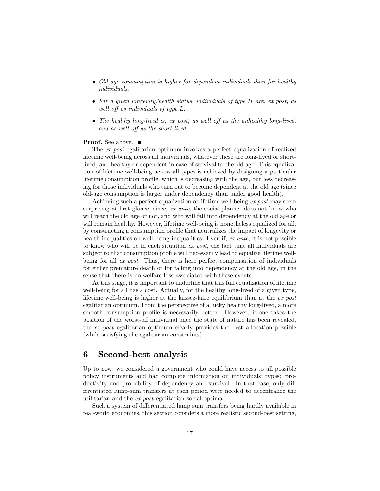- Old-age consumption is higher for dependent individuals than for healthy individuals.
- For a given longevity/health status, individuals of type H are, ex post, as well off as individuals of type  $L$ .
- The healthy long-lived is, ex post, as well off as the unhealthy long-lived, and as well off as the short-lived.

#### **Proof.** See above. ■

The ex post egalitarian optimum involves a perfect equalization of realized lifetime well-being across all individuals, whatever these are long-lived or shortlived, and healthy or dependent in case of survival to the old age. This equalization of lifetime well-being across all types is achieved by designing a particular lifetime consumption profile, which is decreasing with the age, but less decreasing for those individuals who turn out to become dependent at the old age (since old-age consumption is larger under dependency than under good health).

Achieving such a perfect equalization of lifetime well-being ex post may seem surprising at first glance, since,  $ex$  ante, the social planner does not know who will reach the old age or not, and who will fall into dependency at the old age or will remain healthy. However, lifetime well-being is nonetheless equalized for all, by constructing a consumption profile that neutralizes the impact of longevity or health inequalities on well-being inequalities. Even if, ex ante, it is not possible to know who will be in each situation ex post, the fact that all individuals are subject to that consumption profile will necessarily lead to equalize lifetime wellbeing for all ex post. Thus, there is here perfect compensation of individuals for either premature death or for falling into dependency at the old age, in the sense that there is no welfare loss associated with these events.

At this stage, it is important to underline that this full equalization of lifetime well-being for all has a cost. Actually, for the healthy long-lived of a given type, lifetime well-being is higher at the laissez-faire equilibrium than at the  $ex$  post egalitarian optimum. From the perspective of a lucky healthy long-lived, a more smooth consumption profile is necessarily better. However, if one takes the position of the worst-off individual once the state of nature has been revealed, the ex post egalitarian optimum clearly provides the best allocation possible (while satisfying the egalitarian constraints).

#### 6 Second-best analysis

Up to now, we considered a government who could have access to all possible policy instruments and had complete information on individualsí types: productivity and probability of dependency and survival. In that case, only differentiated lump-sum transfers at each period were needed to decentralize the utilitarian and the ex post egalitarian social optima.

Such a system of differentiated lump sum transfers being hardly available in real-world economies, this section considers a more realistic second-best setting,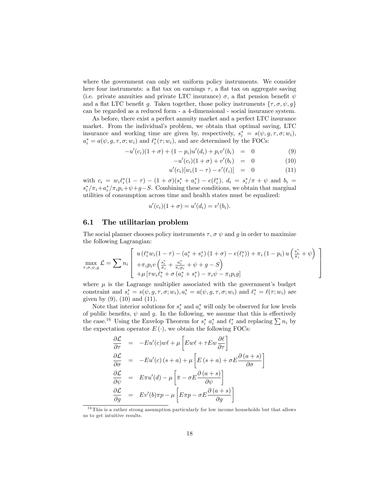where the government can only set uniform policy instruments. We consider here four instruments: a flat tax on earnings  $\tau$ , a flat tax on aggregate saving (i.e. private annuities and private LTC insurance)  $\sigma$ , a flat pension benefit  $\psi$ and a flat LTC benefit g. Taken together, those policy instruments  $\{\tau, \sigma, \psi, g\}$ can be regarded as a reduced form - a 4-dimensional - social insurance system.

As before, there exist a perfect annuity market and a perfect LTC insurance market. From the individual's problem, we obtain that optimal saving, LTC insurance and working time are given by, respectively,  $s_i^* = s(\psi, g, \tau, \sigma; w_i)$ ,  $a_i^* = a(\psi, g, \tau, \sigma; w_i)$  and  $\ell_i^*(\tau; w_i)$ , and are determined by the FOCs:

$$
-u'(c_i)(1+\sigma) + (1-p_i)u'(d_i) + p_i v'(b_i) = 0 \qquad (9)
$$

$$
-u'(c_i)(1+\sigma) + v'(b_i) = 0 \tag{10}
$$

$$
u'(c_i)[w_i(1-\tau) - e'(\ell_i)] = 0 \tag{11}
$$

with  $c_i = w_i \ell_i^* (1 - \tau) - (1 + \sigma)(s_i^* + a_i^*) - e(\ell_i^*), d_i = s_i^* / \pi + \psi$  and  $b_i =$  $s_i^*/\pi_i + a_i^*/\pi_i p_i + \psi + g - S$ . Combining these conditions, we obtain that marginal utilities of consumption across time and health states must be equalized:

$$
u'(c_i)(1+\sigma) = u'(d_i) = v'(b_i).
$$

#### 6.1 The utilitarian problem

The social planner chooses policy instruments  $\tau$ ,  $\sigma \psi$  and g in order to maximize the following Lagrangian:

$$
\max_{\tau,\sigma,\psi,g} \mathcal{L} = \sum n_i \left[ \begin{array}{c} u(\ell_i^* w_i (1-\tau) - (a_i^* + s_i^*) (1+\sigma) - e(\ell_i^*)) + \pi_i (1-p_i) u\left(\frac{s_i^*}{\pi_i} + \psi\right) \\ + \pi_i p_i v\left(\frac{s_i^*}{\pi_i} + \frac{a_i^*}{\pi_i p_i} + \psi + g - S\right) \\ + \mu \left[ \tau w_i \ell_i^* + \sigma(a_i^* + s_i^*) - \pi_i \psi - \pi_i p_i g \right] \end{array} \right]
$$

where  $\mu$  is the Lagrange multiplier associated with the government's budget constraint and  $s_i^* = s(\psi, g, \tau, \sigma; w_i), a_i^* = a(\psi, g, \tau, \sigma; w_i)$  and  $\ell_i^* = \ell(\tau; w_i)$  are given by  $(9)$ ,  $(10)$  and  $(11)$ .

Note that interior solutions for  $s_i^*$  and  $a_i^*$  will only be observed for low levels of public benefits,  $\psi$  and  $g$ . In the following, we assume that this is effectively the case.<sup>16</sup> Using the Envelop Theorem for  $s_i^*$   $a_i^*$  and  $\ell_i^*$  and replacing  $\sum n_i$  by the expectation operator  $E(\cdot)$ , we obtain the following FOCs:

$$
\frac{\partial \mathcal{L}}{\partial \tau} = -Eu'(c)w\ell + \mu \left[Ew\ell + \tau Ew \frac{\partial \ell}{\partial \tau}\right]
$$
\n
$$
\frac{\partial \mathcal{L}}{\partial \sigma} = -Eu'(c)(s+a) + \mu \left[E(s+a) + \sigma E \frac{\partial (a+s)}{\partial \sigma}\right]
$$
\n
$$
\frac{\partial \mathcal{L}}{\partial \psi} = E\pi u'(d) - \mu \left[\bar{\pi} - \sigma E \frac{\partial (a+s)}{\partial \psi}\right]
$$
\n
$$
\frac{\partial \mathcal{L}}{\partial g} = Ev'(b)\pi p - \mu \left[E\pi p - \sigma E \frac{\partial (a+s)}{\partial g}\right]
$$

<sup>&</sup>lt;sup>16</sup> This is a rather strong assumption particularly for low income households but that allows us to get intuitive results.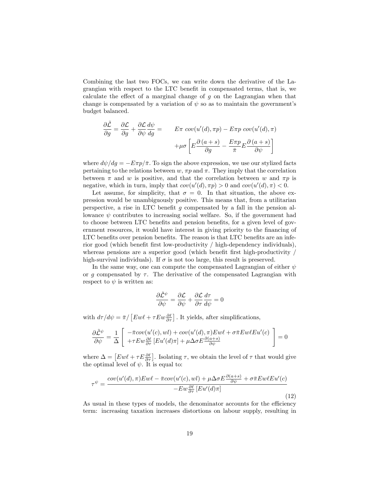Combining the last two FOCs, we can write down the derivative of the Lagrangian with respect to the LTC benefit in compensated terms, that is, we calculate the effect of a marginal change of  $g$  on the Lagrangian when that change is compensated by a variation of  $\psi$  so as to maintain the government's budget balanced.

$$
\frac{\partial \tilde{\mathcal{L}}}{\partial g} = \frac{\partial \mathcal{L}}{\partial g} + \frac{\partial \mathcal{L}}{\partial \psi} \frac{d\psi}{dg} = \qquad E\pi \, cov(u'(d), \pi p) - E\pi p \, cov(u'(d), \pi) \n+ \mu \sigma \left[ E \frac{\partial (a+s)}{\partial g} - \frac{E\pi p}{\pi} E \frac{\partial (a+s)}{\partial \psi} \right]
$$

where  $d\psi/dg = -E\pi p/\bar{\pi}$ . To sign the above expression, we use our stylized facts pertaining to the relations between  $w, \pi p$  and  $\pi$ . They imply that the correlation between  $\pi$  and w is positive, and that the correlation between w and  $\pi p$  is negative, which in turn, imply that  $cov(u'(d), \pi p) > 0$  and  $cov(u'(d), \pi) < 0$ .

Let assume, for simplicity, that  $\sigma = 0$ . In that situation, the above expression would be unambiguously positive. This means that, from a utilitarian perspective, a rise in LTC benefit  $g$  compensated by a fall in the pension allowance  $\psi$  contributes to increasing social welfare. So, if the government had to choose between LTC benefits and pension benefits, for a given level of government resources, it would have interest in giving priority to the financing of LTC benefits over pension benefits. The reason is that LTC benefits are an inferior good (which benefit first low-productivity / high-dependency individuals), whereas pensions are a superior good (which benefit first high-productivity  $/$ high-survival individuals). If  $\sigma$  is not too large, this result is preserved.

In the same way, one can compute the compensated Lagrangian of either  $\psi$ or g compensated by  $\tau$ . The derivative of the compensated Lagrangian with respect to  $\psi$  is written as:

$$
\frac{\partial \tilde{\mathcal{L}}^{\psi}}{\partial \psi} = \frac{\partial \mathcal{L}}{\partial \psi} + \frac{\partial \mathcal{L}}{\partial \tau} \frac{d \tau}{d \psi} = 0
$$

with  $d\tau/d\psi = \bar{\pi} / \left[ Ew\ell + \tau Ew \frac{\partial \ell}{\partial \tau} \right]$ . It yields, after simplifications,

$$
\frac{\partial \tilde{\mathcal{L}}^{\psi}}{\partial \psi} = \frac{1}{\Delta} \left[ \begin{array}{l} -\bar{\pi}cov(u'(c),wl) + cov(u'(d), \pi)Ew\ell + \sigma \bar{\pi}Ew\ell Eu'(c) \\ +\tau Ew\frac{\partial \ell}{\partial \tau} \left[Eu'(d)\pi\right] + \mu \Delta \sigma E\frac{\partial (a+s)}{\partial \psi} \end{array} \right] = 0
$$

where  $\Delta = \left[ E w \ell + \tau E \frac{\partial \ell}{\partial \tau} \right]$ . Isolating  $\tau$ , we obtain the level of  $\tau$  that would give the optimal level of  $\psi$ . It is equal to:

$$
\tau^{\psi} = \frac{cov(u'(d), \pi)Ew\ell - \bar{\pi}cov(u'(c), wt) + \mu \Delta \sigma E \frac{\partial(a+s)}{\partial \psi} + \sigma \bar{\pi} Ew\ell Eu'(c)}{-Ew\frac{\partial \ell}{\partial \tau}[Eu'(d)\pi]}
$$
(12)

As usual in these types of models, the denominator accounts for the efficiency term: increasing taxation increases distortions on labour supply, resulting in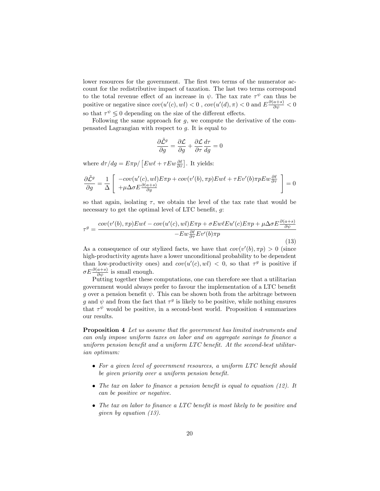lower resources for the government. The first two terms of the numerator account for the redistributive impact of taxation. The last two terms correspond to the total revenue effect of an increase in  $\psi$ . The tax rate  $\tau^{\psi}$  can thus be positive or negative since  $cov(u'(c), w l) < 0$ ,  $cov(u'(d), \pi) < 0$  and  $E \frac{\partial (a+s)}{\partial \psi} < 0$ so that  $\tau^{\psi} \lessgtr 0$  depending on the size of the different effects.

Following the same approach for  $q$ , we compute the derivative of the compensated Lagrangian with respect to g. It is equal to

$$
\frac{\partial \tilde{\mathcal{L}}^g}{\partial g} = \frac{\partial \mathcal{L}}{\partial g} + \frac{\partial \mathcal{L}}{\partial \tau} \frac{d\tau}{dg} = 0
$$

where  $d\tau/dg = E\pi p / [E w \ell + \tau E w \frac{\partial \ell}{\partial \tau}]$ . It yields:

$$
\frac{\partial \tilde{L}^g}{\partial g} = \frac{1}{\Delta} \left[ \begin{array}{c} -cov(u'(c), wil)E\pi p + cov(v'(b), \pi p)Ew\ell + \tau Ev'(b)\pi p Ew\frac{\partial \ell}{\partial \tau} \\ +\mu \Delta \sigma E \frac{\partial (a+s)}{\partial g} \end{array} \right] = 0
$$

so that again, isolating  $\tau$ , we obtain the level of the tax rate that would be necessary to get the optimal level of LTC benefit,  $q$ :

$$
\tau^{g} = \frac{cov(v'(b), \pi p)E w\ell - cov(u'(c), wl)E\pi p + \sigma E w\ell E u'(c)E\pi p + \mu \Delta \sigma E \frac{\partial (a+s)}{\partial \psi}}{-E w \frac{\partial \ell}{\partial \tau} E v'(b)\pi p}
$$
\n(13)

As a consequence of our stylized facts, we have that  $cov(v'(b), \pi p) > 0$  (since high-productivity agents have a lower unconditional probability to be dependent than low-productivity ones) and  $cov(u'(c), w)) < 0$ , so that  $\tau^g$  is positive if  $\sigma E \frac{\partial (a+s)}{\partial \psi}$  is small enough.

Putting together these computations, one can therefore see that a utilitarian government would always prefer to favour the implementation of a LTC benefit q over a pension benefit  $\psi$ . This can be shown both from the arbitrage between g and  $\psi$  and from the fact that  $\tau^g$  is likely to be positive, while nothing ensures that  $\tau^{\psi}$  would be positive, in a second-best world. Proposition 4 summarizes our results.

Proposition 4 Let us assume that the government has limited instruments and can only impose uniform taxes on labor and on aggregate savings to finance a uniform pension benefit and a uniform  $LTC$  benefit. At the second-best utilitarian optimum:

- $\bullet$  For a given level of government resources, a uniform LTC benefit should be given priority over a uniform pension benefit.
- The tax on labor to finance a pension benefit is equal to equation  $(12)$ . It can be positive or negative.
- $\bullet$  The tax on labor to finance a LTC benefit is most likely to be positive and given by equation (13).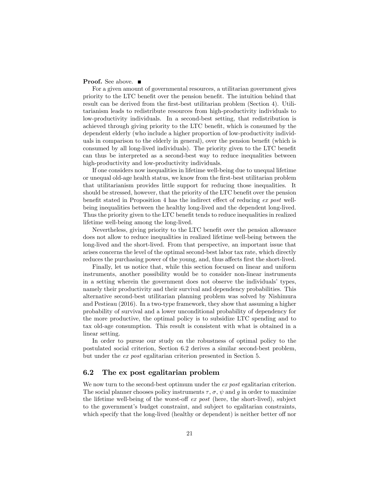#### **Proof.** See above. ■

For a given amount of governmental resources, a utilitarian government gives priority to the LTC benefit over the pension benefit. The intuition behind that result can be derived from the first-best utilitarian problem (Section 4). Utilitarianism leads to redistribute resources from high-productivity individuals to low-productivity individuals. In a second-best setting, that redistribution is achieved through giving priority to the LTC benefit, which is consumed by the dependent elderly (who include a higher proportion of low-productivity individuals in comparison to the elderly in general), over the pension benefit (which is consumed by all long-lived individuals). The priority given to the LTC benefit can thus be interpreted as a second-best way to reduce inequalities between high-productivity and low-productivity individuals.

If one considers now inequalities in lifetime well-being due to unequal lifetime or unequal old-age health status, we know from the Örst-best utilitarian problem that utilitarianism provides little support for reducing those inequalities. It should be stressed, however, that the priority of the LTC benefit over the pension benefit stated in Proposition 4 has the indirect effect of reducing  $ex$  post wellbeing inequalities between the healthy long-lived and the dependent long-lived. Thus the priority given to the LTC benefit tends to reduce inequalities in realized lifetime well-being among the long-lived.

Nevertheless, giving priority to the LTC benefit over the pension allowance does not allow to reduce inequalities in realized lifetime well-being between the long-lived and the short-lived. From that perspective, an important issue that arises concerns the level of the optimal second-best labor tax rate, which directly reduces the purchasing power of the young, and, thus affects first the short-lived.

Finally, let us notice that, while this section focused on linear and uniform instruments, another possibility would be to consider non-linear instruments in a setting wherein the government does not observe the individuals' types, namely their productivity and their survival and dependency probabilities. This alternative second-best utilitarian planning problem was solved by Nishimura and Pestieau (2016). In a two-type framework, they show that assuming a higher probability of survival and a lower unconditional probability of dependency for the more productive, the optimal policy is to subsidize LTC spending and to tax old-age consumption. This result is consistent with what is obtained in a linear setting.

In order to pursue our study on the robustness of optimal policy to the postulated social criterion, Section 6.2 derives a similar second-best problem, but under the ex post egalitarian criterion presented in Section 5.

#### 6.2 The ex post egalitarian problem

We now turn to the second-best optimum under the ex post egalitarian criterion. The social planner chooses policy instruments  $\tau$ ,  $\sigma$ ,  $\psi$  and  $g$  in order to maximize the lifetime well-being of the worst-off  $ex$  post (here, the short-lived), subject to the governmentís budget constraint, and subject to egalitarian constraints, which specify that the long-lived (healthy or dependent) is neither better of nor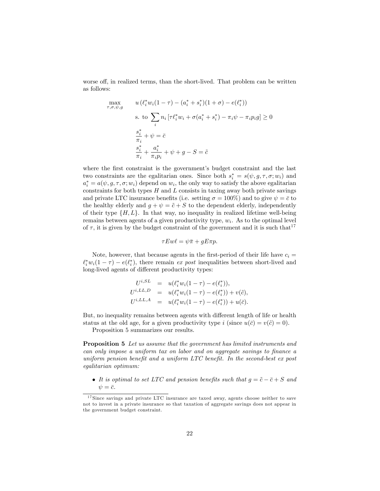worse off, in realized terms, than the short-lived. That problem can be written as follows:

$$
\max_{\substack{\sigma,\sigma,\psi,g}} \quad u(\ell_i^* w_i (1 - \tau) - (a_i^* + s_i^*)(1 + \sigma) - e(\ell_i^*))
$$
\n
$$
\text{s. to } \sum_i n_i \left[ \tau \ell_i^* w_i + \sigma (a_i^* + s_i^*) - \pi_i \psi - \pi_i p_i g \right] \ge 0
$$
\n
$$
\frac{s_i^*}{\pi_i} + \psi = \bar{c}
$$
\n
$$
\frac{s_i^*}{\pi_i} + \frac{a_i^*}{\pi_i p_i} + \psi + g - S = \tilde{c}
$$

where the first constraint is the government's budget constraint and the last two constraints are the egalitarian ones. Since both  $s_i^* = s(\psi, g, \tau, \sigma; w_i)$  and  $a_i^* = a(\psi, g, \tau, \sigma; w_i)$  depend on  $w_i$ , the only way to satisfy the above egalitarian constraints for both types  $H$  and  $L$  consists in taxing away both private savings and private LTC insurance benefits (i.e. setting  $\sigma = 100\%$ ) and to give  $\psi = \bar{c}$  to the healthy elderly and  $q + \psi = \tilde{c} + S$  to the dependent elderly, independently of their type  $\{H, L\}$ . In that way, no inequality in realized lifetime well-being remains between agents of a given productivity type,  $w_i$ . As to the optimal level of  $\tau$ , it is given by the budget constraint of the government and it is such that<sup>17</sup>

$$
\tau E w \ell = \psi \bar{\pi} + g E \pi p.
$$

Note, however, that because agents in the first-period of their life have  $c_i =$  $\ell_i^* w_i(1-\tau) - e(\ell_i^*)$ , there remain ex post inequalities between short-lived and long-lived agents of different productivity types:

$$
U^{i,SL} = u(\ell_i^* w_i (1 - \tau) - e(\ell_i^*)),
$$
  
\n
$$
U^{i,LL,D} = u(\ell_i^* w_i (1 - \tau) - e(\ell_i^*)) + v(\tilde{c}),
$$
  
\n
$$
U^{i,LL,A} = u(\ell_i^* w_i (1 - \tau) - e(\ell_i^*)) + u(\bar{c}).
$$

But, no inequality remains between agents with different length of life or health status at the old age, for a given productivity type i (since  $u(\bar{c}) = v(\tilde{c}) = 0$ ).

Proposition 5 summarizes our results.

 $\tau$ 

Proposition 5 Let us assume that the government has limited instruments and can only impose a uniform tax on labor and on aggregate savings to finance a uniform pension benefit and a uniform LTC benefit. In the second-best  $ex$  post egalitarian optimum:

• It is optimal to set LTC and pension benefits such that  $g = \tilde{c} - \bar{c} + S$  and  $\psi = \bar{c}.$ 

<sup>17</sup> Since savings and private LTC insurance are taxed away, agents choose neither to save not to invest in a private insurance so that taxation of aggregate savings does not appear in the government budget constraint.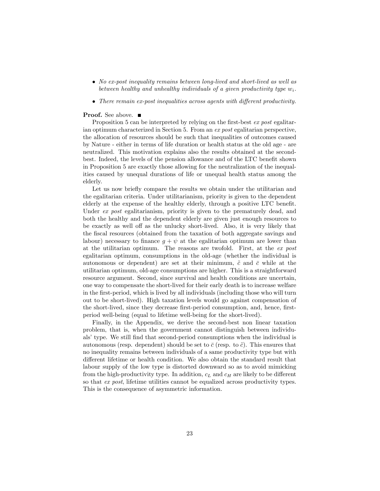- No ex-post inequality remains between long-lived and short-lived as well as between healthy and unhealthy individuals of a given productivity type  $w_i$ .
- There remain ex-post inequalities across agents with different productivity.

#### **Proof.** See above. ■

Proposition 5 can be interpreted by relying on the first-best ex post egalitarian optimum characterized in Section 5. From an ex post egalitarian perspective, the allocation of resources should be such that inequalities of outcomes caused by Nature - either in terms of life duration or health status at the old age - are neutralized. This motivation explains also the results obtained at the secondbest. Indeed, the levels of the pension allowance and of the LTC benefit shown in Proposition 5 are exactly those allowing for the neutralization of the inequalities caused by unequal durations of life or unequal health status among the elderly.

Let us now briefly compare the results we obtain under the utilitarian and the egalitarian criteria. Under utilitarianism, priority is given to the dependent elderly at the expense of the healthy elderly, through a positive LTC benefit. Under ex post egalitarianism, priority is given to the prematurely dead, and both the healthy and the dependent elderly are given just enough resources to be exactly as well off as the unlucky short-lived. Also, it is very likely that the Öscal resources (obtained from the taxation of both aggregate savings and labour) necessary to finance  $g + \psi$  at the egalitarian optimum are lower than at the utilitarian optimum. The reasons are twofold. First, at the ex post egalitarian optimum, consumptions in the old-age (whether the individual is autonomous or dependent) are set at their minimum,  $\tilde{c}$  and  $\bar{c}$  while at the utilitarian optimum, old-age consumptions are higher. This is a straightforward resource argument. Second, since survival and health conditions are uncertain, one way to compensate the short-lived for their early death is to increase welfare in the Örst-period, which is lived by all individuals (including those who will turn out to be short-lived). High taxation levels would go against compensation of the short-lived, since they decrease first-period consumption, and, hence, firstperiod well-being (equal to lifetime well-being for the short-lived).

Finally, in the Appendix, we derive the second-best non linear taxation problem, that is, when the government cannot distinguish between individuals' type. We still find that second-period consumptions when the individual is autonomous (resp. dependent) should be set to  $\bar{c}$  (resp. to  $\tilde{c}$ ). This ensures that no inequality remains between individuals of a same productivity type but with different lifetime or health condition. We also obtain the standard result that labour supply of the low type is distorted downward so as to avoid mimicking from the high-productivity type. In addition,  $c<sub>L</sub>$  and  $c<sub>H</sub>$  are likely to be different so that ex post, lifetime utilities cannot be equalized across productivity types. This is the consequence of asymmetric information.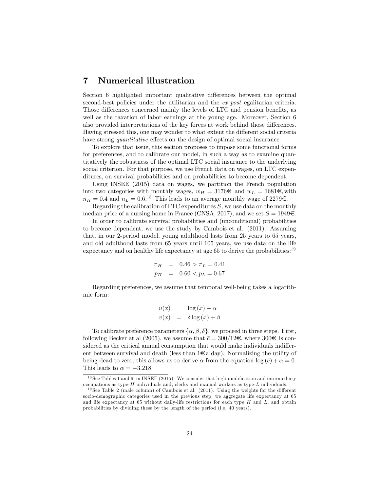### 7 Numerical illustration

Section 6 highlighted important qualitative differences between the optimal second-best policies under the utilitarian and the ex post egalitarian criteria. Those differences concerned mainly the levels of LTC and pension benefits, as well as the taxation of labor earnings at the young age. Moreover, Section 6 also provided interpretations of the key forces at work behind those differences. Having stressed this, one may wonder to what extent the different social criteria have strong *quantitative* effects on the design of optimal social insurance.

To explore that issue, this section proposes to impose some functional forms for preferences, and to calibrate our model, in such a way as to examine quantitatively the robustness of the optimal LTC social insurance to the underlying social criterion. For that purpose, we use French data on wages, on LTC expenditures, on survival probabilities and on probabilities to become dependent.

Using INSEE (2015) data on wages, we partition the French population into two categories with monthly wages,  $w_H = 3176\epsilon$  and  $w_L = 1681\epsilon$ , with  $n_H = 0.4$  and  $n_L = 0.6$ .<sup>18</sup> This leads to an average monthly wage of 2279 $\in$ .

Regarding the calibration of LTC expenditures  $S$ , we use data on the monthly median price of a nursing home in France (CNSA, 2017), and we set  $S = 1949 \in$ .

In order to calibrate survival probabilities and (unconditional) probabilities to become dependent, we use the study by Cambois et al. (2011). Assuming that, in our 2-period model, young adulthood lasts from 25 years to 65 years, and old adulthood lasts from 65 years until 105 years, we use data on the life expectancy and on healthy life expectancy at age 65 to derive the probabilities:  $19$ 

$$
\begin{array}{rcl}\n\pi_H & = & 0.46 > \pi_L = 0.41 \\
p_H & = & 0.60 < p_L = 0.67\n\end{array}
$$

Regarding preferences, we assume that temporal well-being takes a logarithmic form:

$$
u(x) = \log(x) + \alpha
$$
  

$$
v(x) = \delta \log(x) + \beta
$$

To calibrate preference parameters  $\{\alpha, \beta, \delta\}$ , we proceed in three steps. First, following Becker at al (2005), we assume that  $\bar{c} = 300/12\epsilon$ , where  $300\epsilon$  is considered as the critical annual consumption that would make individuals indifferent between survival and death (less than  $1\epsilon$  a day). Normalizing the utility of being dead to zero, this allows us to derive  $\alpha$  from the equation log  $(\bar{c}) + \alpha = 0$ . This leads to  $\alpha = -3.218$ .

 $18$  See Tables 1 and 6, in INSEE (2015). We consider that high-qualification and intermediary occupations as type- $H$  individuals and, clerks and manual workers as type- $L$  individuals.

 $19$  See Table 2 (male column) of Cambois et al. (2011). Using the weights for the different socio-demographic categories used in the previous step, we aggregate life expectancy at 65 and life expectancy at 65 without daily-life restrictions for each type  $H$  and  $L$ , and obtain probabilities by dividing these by the length of the period (i.e. 40 years).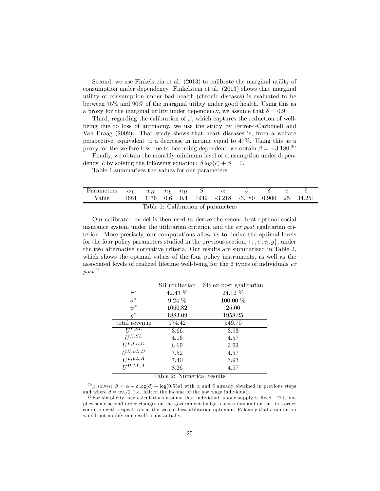Second, we use Finkelstein et al. (2013) to calibrate the marginal utility of consumption under dependency. Finkelstein et al. (2013) shows that marginal utility of consumption under bad health (chronic diseases) is evaluated to be between 75% and 90% of the marginal utility under good health. Using this as a proxy for the marginal utility under dependency, we assume that  $\delta = 0.9$ .

Third, regarding the calibration of  $\beta$ , which captures the reduction of wellbeing due to loss of autonomy, we use the study by Ferrer-i-Carbonell and Van Praag (2002). That study shows that heart diseases is, from a welfare perspective, equivalent to a decrease in income equal to 47%. Using this as a proxy for the welfare loss due to becoming dependent, we obtain  $\beta = -3.180^{20}$ 

Finally, we obtain the monthly minimum level of consumption under dependency,  $\tilde{c}$  by solving the following equation:  $\delta \log(\tilde{c}) + \beta = 0$ .

Table 1 summarizes the values for our parameters.

| Parameters $w_L$ $w_H$ $n_L$ $n_H$ S $\alpha$ |  |  |  |  |  |  |                                                      |  |  |
|-----------------------------------------------|--|--|--|--|--|--|------------------------------------------------------|--|--|
| Value                                         |  |  |  |  |  |  | 1681 3176 0.6 0.4 1949 -3.218 -3.180 0.900 25 34.251 |  |  |
| Table 1: Calibration of parameters            |  |  |  |  |  |  |                                                      |  |  |

Our calibrated model is then used to derive the second-best optimal social insurance system under the utilitarian criterion and the ex post egalitarian criterion. More precisely, our computations allow us to derive the optimal levels for the four policy parameters studied in the previous section,  $\{\tau, \sigma, \psi, g\}$ , under the two alternative normative criteria. Our results are summarized in Table 2, which shows the optimal values of the four policy instruments, as well as the associated levels of realized lifetime well-being for the 6 types of individuals ex  $post.^{21}$ 

|                            | SB utilitarian | SB ex post egalitarian |  |  |  |  |
|----------------------------|----------------|------------------------|--|--|--|--|
| $\tau^*$                   | 42.43 %        | 24.12 %                |  |  |  |  |
| $\sigma^*$                 | $9.24\%$       | 100.00 %               |  |  |  |  |
| $\psi^*$                   | 1060.82        | 25.00                  |  |  |  |  |
| $q^*$                      | 1883.09        | 1958.25                |  |  |  |  |
| total revenue              | 974.42         | 549.70                 |  |  |  |  |
| $U^{L,SL}$                 | 3.66           | 3.93                   |  |  |  |  |
| $U^{H,SL}$                 | 4.16           | 4.57                   |  |  |  |  |
| $U^{L,LL,D}$               | 6.69           | 3.93                   |  |  |  |  |
| $U^{H,LL,D}$               | 7.52           | 4.57                   |  |  |  |  |
| $U^{L,LL,A}$               | 7.40           | 3.93                   |  |  |  |  |
| $II^{H,LL,A}$              | 8.26           | 4.57                   |  |  |  |  |
| Table 2: Numerical results |                |                        |  |  |  |  |

<sup>&</sup>lt;sup>20</sup> $\beta$  solves:  $\beta = \alpha - \delta \log(d) + \log(0.53d)$  with  $\alpha$  and  $\delta$  already obtained in previous steps

and where  $d = w_L/2$  (i.e. half of the income of the low wage individual).

 $^{21}$  For simplicity, our calculations assume that individual labour supply is fixed. This implies some second-order changes on the government budget constraints and on the Örst-order condition with respect to  $\tau$  at the second-best utilitarian optimum. Relaxing that assumption would not modify our results substantially.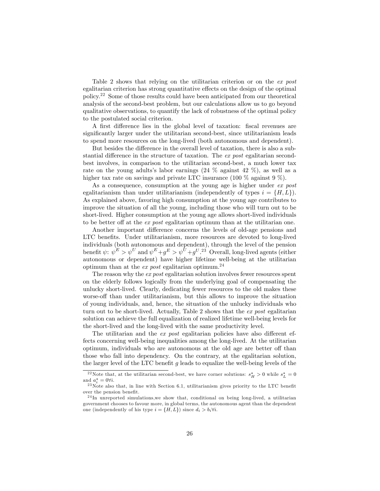Table 2 shows that relying on the utilitarian criterion or on the ex post egalitarian criterion has strong quantitative effects on the design of the optimal policy.<sup>22</sup> Some of those results could have been anticipated from our theoretical analysis of the second-best problem, but our calculations allow us to go beyond qualitative observations, to quantify the lack of robustness of the optimal policy to the postulated social criterion.

A first difference lies in the global level of taxation: fiscal revenues are significantly larger under the utilitarian second-best, since utilitarianism leads to spend more resources on the long-lived (both autonomous and dependent).

But besides the difference in the overall level of taxation, there is also a substantial difference in the structure of taxation. The  $ex$  post egalitarian secondbest involves, in comparison to the utilitarian second-best, a much lower tax rate on the young adults's labor earnings  $(24 \%$  against  $42 \%$ ), as well as a higher tax rate on savings and private LTC insurance (100  $\%$  against 9  $\%$ ).

As a consequence, consumption at the young age is higher under ex post egalitarianism than under utilitarianism (independently of types  $i = \{H, L\}$ ). As explained above, favoring high consumption at the young age contributes to improve the situation of all the young, including those who will turn out to be short-lived. Higher consumption at the young age allows short-lived individuals to be better off at the  $ex$  post egalitarian optimum than at the utilitarian one.

Another important difference concerns the levels of old-age pensions and LTC benefits. Under utilitarianism, more resources are devoted to long-lived individuals (both autonomous and dependent), through the level of the pension benefit  $\psi: \ \psi^E > \psi^U \text{ and } \psi^E + g^E > \psi^U + g^{U}$ .<sup>23</sup> Overall, long-lived agents (either autonomous or dependent) have higher lifetime well-being at the utilitarian optimum than at the *ex post* egalitarian optimum.<sup>24</sup>

The reason why the ex post egalitarian solution involves fewer resources spent on the elderly follows logically from the underlying goal of compensating the unlucky short-lived. Clearly, dedicating fewer resources to the old makes these worse-off than under utilitarianism, but this allows to improve the situation of young individuals, and, hence, the situation of the unlucky individuals who turn out to be short-lived. Actually, Table 2 shows that the ex post egalitarian solution can achieve the full equalization of realized lifetime well-being levels for the short-lived and the long-lived with the same productivity level.

The utilitarian and the  $ex$  post egalitarian policies have also different effects concerning well-being inequalities among the long-lived. At the utilitarian optimum, individuals who are autonomous at the old age are better off than those who fall into dependency. On the contrary, at the egalitarian solution, the larger level of the LTC benefit  $g$  leads to equalize the well-being levels of the

<sup>&</sup>lt;sup>22</sup>Note that, at the utilitarian second-best, we have corner solutions:  $s_H^* > 0$  while  $s_L^* = 0$ and  $a_i^* = 0 \forall i$ .

 $^{23}$ Note also that, in line with Section 6.1, utilitarianism gives priority to the LTC benefit over the pension benefit.

 $^{24}$ In unreported simulations, we show that, conditional on being long-lived, a utilitarian government chooses to favour more, in global terms, the autonomous agent than the dependent one (independently of his type  $i = \{H, L\}$ ) since  $d_i > b_i \forall i$ .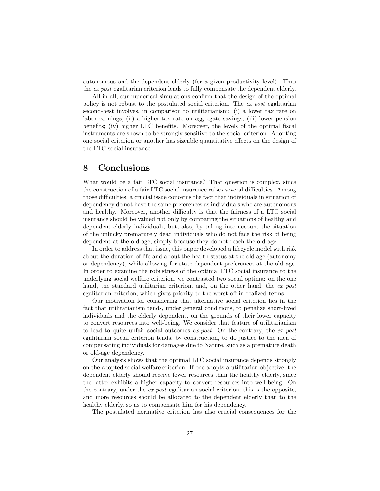autonomous and the dependent elderly (for a given productivity level). Thus the ex post egalitarian criterion leads to fully compensate the dependent elderly.

All in all, our numerical simulations confirm that the design of the optimal policy is not robust to the postulated social criterion. The ex post egalitarian second-best involves, in comparison to utilitarianism: (i) a lower tax rate on labor earnings; (ii) a higher tax rate on aggregate savings; (iii) lower pension benefits; (iv) higher LTC benefits. Moreover, the levels of the optimal fiscal instruments are shown to be strongly sensitive to the social criterion. Adopting one social criterion or another has sizeable quantitative effects on the design of the LTC social insurance.

## 8 Conclusions

What would be a fair LTC social insurance? That question is complex, since the construction of a fair LTC social insurance raises several difficulties. Among those difficulties, a crucial issue concerns the fact that individuals in situation of dependency do not have the same preferences as individuals who are autonomous and healthy. Moreover, another difficulty is that the fairness of a LTC social insurance should be valued not only by comparing the situations of healthy and dependent elderly individuals, but, also, by taking into account the situation of the unlucky prematurely dead individuals who do not face the risk of being dependent at the old age, simply because they do not reach the old age.

In order to address that issue, this paper developed a lifecycle model with risk about the duration of life and about the health status at the old age (autonomy or dependency), while allowing for state-dependent preferences at the old age. In order to examine the robustness of the optimal LTC social insurance to the underlying social welfare criterion, we contrasted two social optima: on the one hand, the standard utilitarian criterion, and, on the other hand, the ex post egalitarian criterion, which gives priority to the worst-off in realized terms.

Our motivation for considering that alternative social criterion lies in the fact that utilitarianism tends, under general conditions, to penalize short-lived individuals and the elderly dependent, on the grounds of their lower capacity to convert resources into well-being. We consider that feature of utilitarianism to lead to quite unfair social outcomes ex post. On the contrary, the ex post egalitarian social criterion tends, by construction, to do justice to the idea of compensating individuals for damages due to Nature, such as a premature death or old-age dependency.

Our analysis shows that the optimal LTC social insurance depends strongly on the adopted social welfare criterion. If one adopts a utilitarian objective, the dependent elderly should receive fewer resources than the healthy elderly, since the latter exhibits a higher capacity to convert resources into well-being. On the contrary, under the ex post egalitarian social criterion, this is the opposite, and more resources should be allocated to the dependent elderly than to the healthy elderly, so as to compensate him for his dependency.

The postulated normative criterion has also crucial consequences for the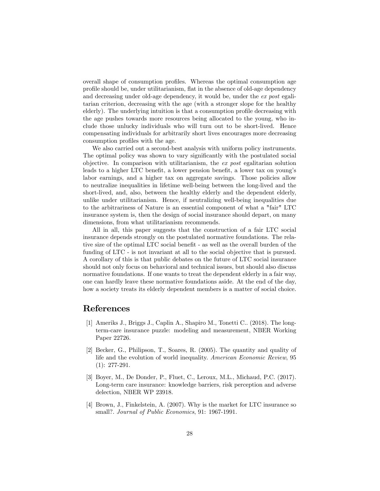overall shape of consumption profiles. Whereas the optimal consumption age profile should be, under utilitarianism, flat in the absence of old-age dependency and decreasing under old-age dependency, it would be, under the ex post egalitarian criterion, decreasing with the age (with a stronger slope for the healthy elderly). The underlying intuition is that a consumption profile decreasing with the age pushes towards more resources being allocated to the young, who include those unlucky individuals who will turn out to be short-lived. Hence compensating individuals for arbitrarily short lives encourages more decreasing consumption profiles with the age.

We also carried out a second-best analysis with uniform policy instruments. The optimal policy was shown to vary significantly with the postulated social objective. In comparison with utilitarianism, the ex post egalitarian solution leads to a higher LTC benefit, a lower pension benefit, a lower tax on young's labor earnings, and a higher tax on aggregate savings. Those policies allow to neutralize inequalities in lifetime well-being between the long-lived and the short-lived, and, also, between the healthy elderly and the dependent elderly, unlike under utilitarianism. Hence, if neutralizing well-being inequalities due to the arbitrariness of Nature is an essential component of what a "fair" LTC insurance system is, then the design of social insurance should depart, on many dimensions, from what utilitarianism recommends.

All in all, this paper suggests that the construction of a fair LTC social insurance depends strongly on the postulated normative foundations. The relative size of the optimal LTC social benefit - as well as the overall burden of the funding of LTC - is not invariant at all to the social objective that is pursued. A corollary of this is that public debates on the future of LTC social insurance should not only focus on behavioral and technical issues, but should also discuss normative foundations. If one wants to treat the dependent elderly in a fair way, one can hardly leave these normative foundations aside. At the end of the day, how a society treats its elderly dependent members is a matter of social choice.

#### References

- [1] Ameriks J., Briggs J., Caplin A., Shapiro M., Tonetti C.. (2018). The longterm-care insurance puzzle: modeling and measurement, NBER Working Paper 22726.
- [2] Becker, G., Philipson, T., Soares, R. (2005). The quantity and quality of life and the evolution of world inequality. American Economic Review, 95 (1): 277-291.
- [3] Boyer, M., De Donder, P., Fluet, C., Leroux, M.L., Michaud, P.C. (2017). Long-term care insurance: knowledge barriers, risk perception and adverse delection, NBER WP 23918.
- [4] Brown, J., Finkelstein, A. (2007). Why is the market for LTC insurance so small?. Journal of Public Economics, 91: 1967-1991.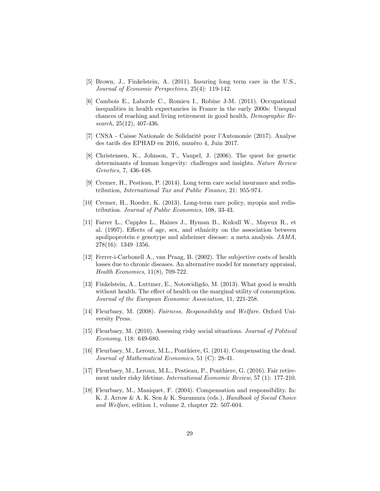- [5] Brown, J., Finkelstein, A. (2011). Insuring long term care in the U.S., Journal of Economic Perspectives, 25(4): 119-142.
- [6] Cambois E., Laborde C., Romieu I., Robine J-M. (2011). Occupational inequalities in health expectancies in France in the early 2000s: Unequal chances of reaching and living retirement in good health, Demographic Research, 25(12), 407-436.
- [7] CNSA Caisse Nationale de Solidarité pour l'Autonomie (2017). Analyse des tarifs des EPHAD en 2016, numéro 4, Juin 2017.
- [8] Christensen, K., Johnson, T., Vaupel, J. (2006). The quest for genetic determinants of human longevity: challenges and insights. Nature Review Genetics, 7, 436-448.
- [9] Cremer, H., Pestieau, P. (2014). Long term care social insurance and redistribution, International Tax and Public Finance, 21: 955-974.
- [10] Cremer, H., Roeder, K. (2013). Long-term care policy, myopia and redistribution. Journal of Public Economics, 108, 33-43.
- [11] Farrer L., Cupples L., Haines J., Hyman B., Kukull W., Mayeux R., et al. (1997). Effects of age, sex, and ethnicity on the association between apolipoprotein e genotype and alzheimer disease: a meta analysis. JAMA,  $278(16): 1349-1356.$
- [12] Ferrer-i-Carbonell A., van Praag, B. (2002). The subjective costs of health losses due to chronic diseases. An alternative model for monetary appraisal, Health Economics, 11(8), 709-722.
- [13] Finkelstein, A., Luttmer, E., Notowidigdo, M. (2013). What good is wealth without health. The effect of health on the marginal utility of consumption. Journal of the European Economic Association, 11, 221-258.
- [14] Fleurbaey, M. (2008). Fairness, Responsibility and Welfare. Oxford University Press.
- [15] Fleurbaey, M. (2010). Assessing risky social situations. Journal of Political Economy, 118: 649-680.
- [16] Fleurbaey, M., Leroux, M.L., Ponthiere, G. (2014). Compensating the dead. Journal of Mathematical Economics, 51 (C): 28-41.
- [17] Fleurbaey, M., Leroux, M.L., Pestieau, P., Ponthiere, G. (2016). Fair retirement under risky lifetime. International Economic Review, 57 (1): 177-210.
- [18] Fleurbaey, M., Maniquet, F. (2004). Compensation and responsibility. In: K. J. Arrow & A. K. Sen & K. Suzumura (eds.), Handbook of Social Choice and Welfare, edition 1, volume 2, chapter 22: 507-604.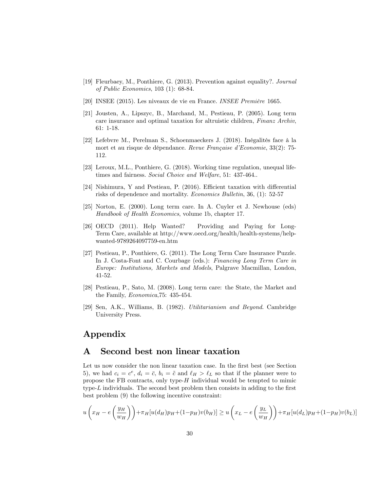- [19] Fleurbaey, M., Ponthiere, G. (2013). Prevention against equality?. Journal of Public Economics, 103 (1): 68-84.
- [20] INSEE (2015). Les niveaux de vie en France. INSEE Première 1665.
- [21] Jousten, A., Lipszyc, B., Marchand, M., Pestieau, P. (2005). Long term care insurance and optimal taxation for altruistic children, Finanz Archiv, 61: 1-18.
- [22] Lefebvre M., Perelman S., Schoenmaeckers J. (2018). Inégalités face à la mort et au risque de dépendance. Revue Française d'Economie, 33(2): 75-112.
- [23] Leroux, M.L., Ponthiere, G. (2018). Working time regulation, unequal lifetimes and fairness. Social Choice and Welfare, 51: 437-464..
- [24] Nishimura, Y and Pestieau, P.  $(2016)$ . Efficient taxation with differential risks of dependence and mortality. Economics Bulletin, 36, (1): 52-57
- [25] Norton, E. (2000). Long term care. In A. Cuyler et J. Newhouse (eds) Handbook of Health Economics, volume 1b, chapter 17.
- [26] OECD (2011). Help Wanted? Providing and Paying for Long-Term Care, available at http://www.oecd.org/health/health-systems/helpwanted-9789264097759-en.htm
- [27] Pestieau, P., Ponthiere, G. (2011). The Long Term Care Insurance Puzzle. In J. Costa-Font and C. Courbage (eds.): Financing Long Term Care in Europe: Institutions, Markets and Models, Palgrave Macmillan, London, 41-52.
- [28] Pestieau, P., Sato, M. (2008). Long term care: the State, the Market and the Family, Economica,75: 435-454.
- [29] Sen, A.K., Williams, B. (1982). Utilitarianism and Beyond. Cambridge University Press.

## Appendix

## A Second best non linear taxation

Let us now consider the non linear taxation case. In the first best (see Section 5), we had  $c_i = c^e$ ,  $d_i = \overline{c}$ ,  $b_i = \widetilde{c}$  and  $\ell_H > \ell_L$  so that if the planner were to propose the FB contracts, only type- $H$  individual would be tempted to mimic type- $L$  individuals. The second best problem then consists in adding to the first best problem (9) the following incentive constraint:

$$
u\left(x_H - e\left(\frac{y_H}{w_H}\right)\right) + \pi_H[u(d_H)p_H + (1 - p_H)v(b_H)] \ge u\left(x_L - e\left(\frac{y_L}{w_H}\right)\right) + \pi_H[u(d_L)p_H + (1 - p_H)v(b_L)]
$$